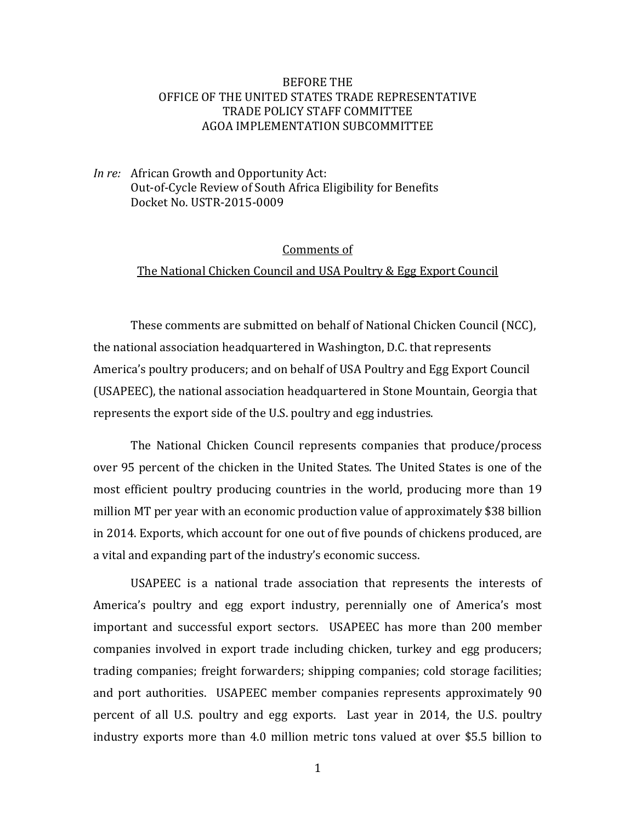## **BEFORE THE** OFFICE OF THE UNITED STATES TRADE REPRESENTATIVE TRADE POLICY STAFF COMMITTEE AGOA IMPLEMENTATION SUBCOMMITTEE

*In re:* African Growth and Opportunity Act: Out-of-Cycle Review of South Africa Eligibility for Benefits Docket No. USTR-2015-0009

## Comments of

## The National Chicken Council and USA Poultry & Egg Export Council

These comments are submitted on behalf of National Chicken Council (NCC), the national association headquartered in Washington, D.C. that represents America's poultry producers; and on behalf of USA Poultry and Egg Export Council (USAPEEC), the national association headquartered in Stone Mountain, Georgia that represents the export side of the U.S. poultry and egg industries.

The National Chicken Council represents companies that produce/process over 95 percent of the chicken in the United States. The United States is one of the most efficient poultry producing countries in the world, producing more than 19 million MT per year with an economic production value of approximately \$38 billion in 2014. Exports, which account for one out of five pounds of chickens produced, are a vital and expanding part of the industry's economic success.

USAPEEC is a national trade association that represents the interests of America's poultry and egg export industry, perennially one of America's most important and successful export sectors. USAPEEC has more than 200 member companies involved in export trade including chicken, turkey and egg producers; trading companies; freight forwarders; shipping companies; cold storage facilities; and port authorities. USAPEEC member companies represents approximately 90 percent of all U.S. poultry and egg exports. Last year in 2014, the U.S. poultry industry exports more than 4.0 million metric tons valued at over \$5.5 billion to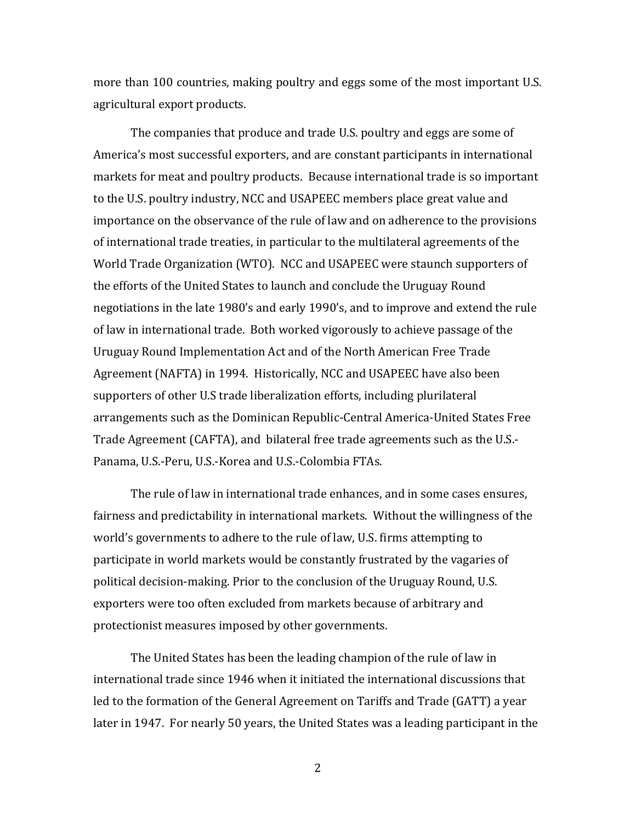more than 100 countries, making poultry and eggs some of the most important U.S. agricultural export products.

The companies that produce and trade U.S. poultry and eggs are some of America's most successful exporters, and are constant participants in international markets for meat and poultry products. Because international trade is so important to the U.S. poultry industry, NCC and USAPEEC members place great value and importance on the observance of the rule of law and on adherence to the provisions of international trade treaties, in particular to the multilateral agreements of the World Trade Organization (WTO). NCC and USAPEEC were staunch supporters of the efforts of the United States to launch and conclude the Uruguay Round negotiations in the late 1980's and early 1990's, and to improve and extend the rule of law in international trade. Both worked vigorously to achieve passage of the Uruguay Round Implementation Act and of the North American Free Trade Agreement (NAFTA) in 1994. Historically, NCC and USAPEEC have also been supporters of other U.S trade liberalization efforts, including plurilateral arrangements such as the Dominican Republic-Central America-United States Free Trade Agreement (CAFTA), and bilateral free trade agreements such as the U.S.-Panama, U.S.-Peru, U.S.-Korea and U.S.-Colombia FTAs.

The rule of law in international trade enhances, and in some cases ensures, fairness and predictability in international markets. Without the willingness of the world's governments to adhere to the rule of law, U.S. firms attempting to participate in world markets would be constantly frustrated by the vagaries of political decision-making. Prior to the conclusion of the Uruguay Round, U.S. exporters were too often excluded from markets because of arbitrary and protectionist measures imposed by other governments.

The United States has been the leading champion of the rule of law in international trade since 1946 when it initiated the international discussions that led to the formation of the General Agreement on Tariffs and Trade (GATT) a year later in 1947. For nearly 50 years, the United States was a leading participant in the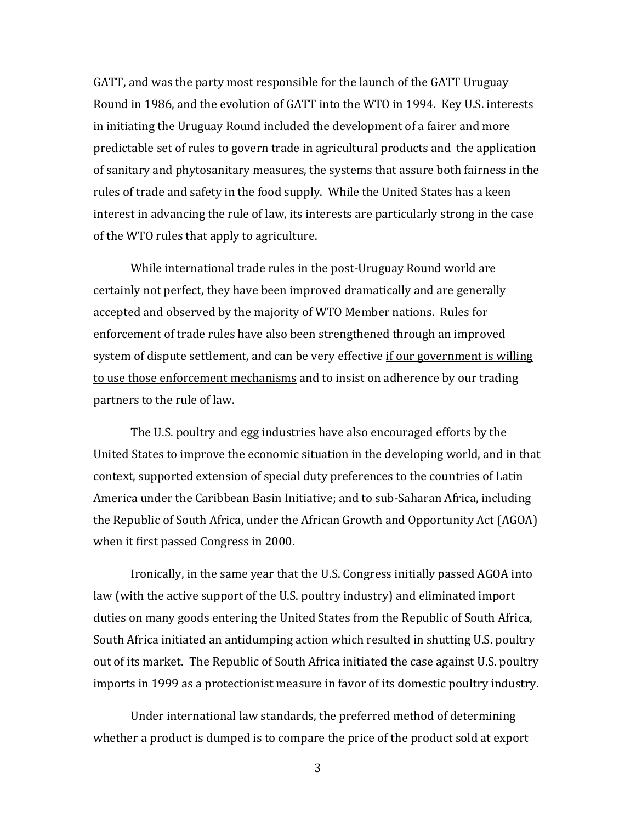GATT, and was the party most responsible for the launch of the GATT Uruguay Round in 1986, and the evolution of GATT into the WTO in 1994. Key U.S. interests in initiating the Uruguay Round included the development of a fairer and more predictable set of rules to govern trade in agricultural products and the application of sanitary and phytosanitary measures, the systems that assure both fairness in the rules of trade and safety in the food supply. While the United States has a keen interest in advancing the rule of law, its interests are particularly strong in the case of the WTO rules that apply to agriculture.

While international trade rules in the post-Uruguay Round world are certainly not perfect, they have been improved dramatically and are generally accepted and observed by the majority of WTO Member nations. Rules for enforcement of trade rules have also been strengthened through an improved system of dispute settlement, and can be very effective if our government is willing to use those enforcement mechanisms and to insist on adherence by our trading partners to the rule of law.

The U.S. poultry and egg industries have also encouraged efforts by the United States to improve the economic situation in the developing world, and in that context, supported extension of special duty preferences to the countries of Latin America under the Caribbean Basin Initiative; and to sub-Saharan Africa, including the Republic of South Africa, under the African Growth and Opportunity Act (AGOA) when it first passed Congress in 2000.

Ironically, in the same year that the U.S. Congress initially passed AGOA into law (with the active support of the U.S. poultry industry) and eliminated import duties on many goods entering the United States from the Republic of South Africa, South Africa initiated an antidumping action which resulted in shutting U.S. poultry out of its market. The Republic of South Africa initiated the case against U.S. poultry imports in 1999 as a protectionist measure in favor of its domestic poultry industry.

Under international law standards, the preferred method of determining whether a product is dumped is to compare the price of the product sold at export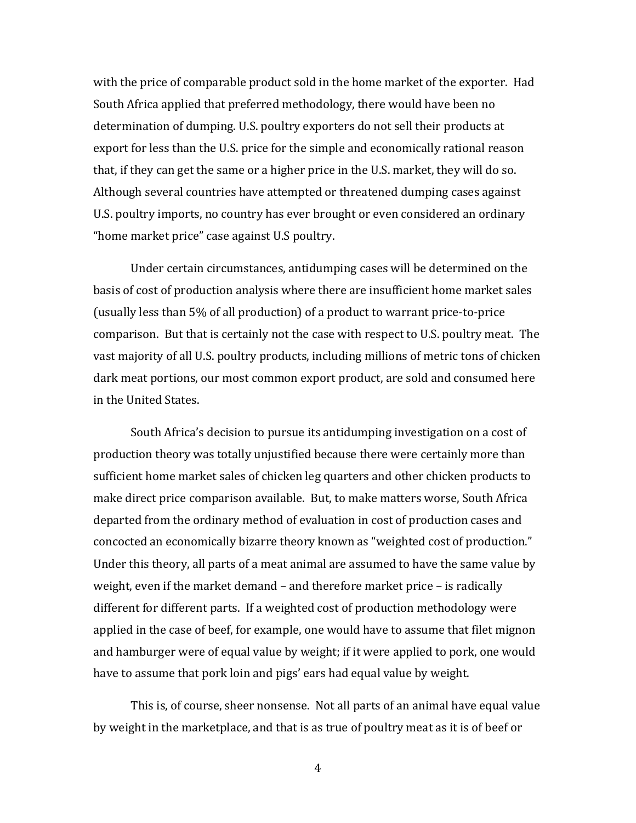with the price of comparable product sold in the home market of the exporter. Had South Africa applied that preferred methodology, there would have been no determination of dumping. U.S. poultry exporters do not sell their products at export for less than the U.S. price for the simple and economically rational reason that, if they can get the same or a higher price in the U.S. market, they will do so. Although several countries have attempted or threatened dumping cases against U.S. poultry imports, no country has ever brought or even considered an ordinary "home market price" case against U.S poultry.

Under certain circumstances, antidumping cases will be determined on the basis of cost of production analysis where there are insufficient home market sales (usually less than 5% of all production) of a product to warrant price-to-price comparison. But that is certainly not the case with respect to U.S. poultry meat. The vast majority of all U.S. poultry products, including millions of metric tons of chicken dark meat portions, our most common export product, are sold and consumed here in the United States.

South Africa's decision to pursue its antidumping investigation on a cost of production theory was totally unjustified because there were certainly more than sufficient home market sales of chicken leg quarters and other chicken products to make direct price comparison available. But, to make matters worse, South Africa departed from the ordinary method of evaluation in cost of production cases and concocted an economically bizarre theory known as "weighted cost of production." Under this theory, all parts of a meat animal are assumed to have the same value by weight, even if the market demand  $-$  and therefore market price  $-$  is radically different for different parts. If a weighted cost of production methodology were applied in the case of beef, for example, one would have to assume that filet mignon and hamburger were of equal value by weight; if it were applied to pork, one would have to assume that pork loin and pigs' ears had equal value by weight.

This is, of course, sheer nonsense. Not all parts of an animal have equal value by weight in the marketplace, and that is as true of poultry meat as it is of beef or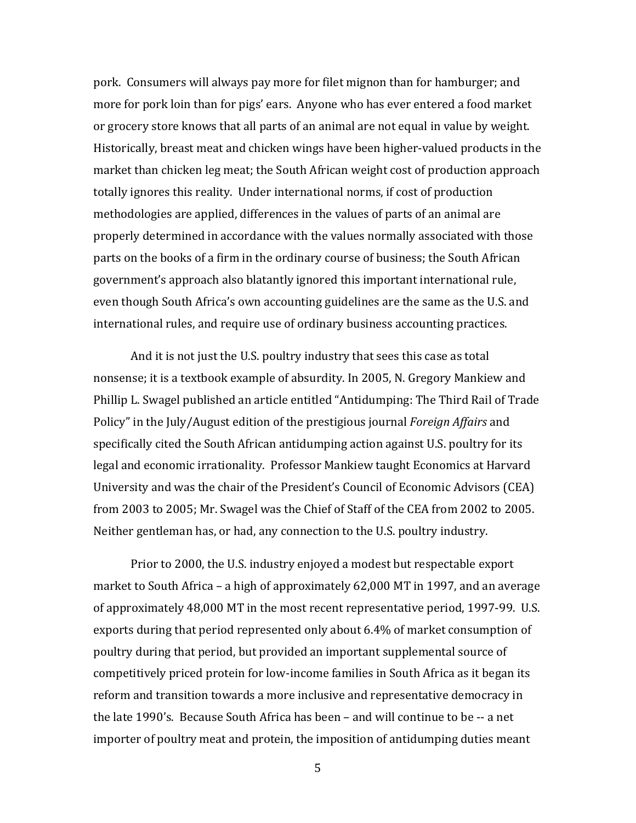pork. Consumers will always pay more for filet mignon than for hamburger; and more for pork loin than for pigs' ears. Anyone who has ever entered a food market or grocery store knows that all parts of an animal are not equal in value by weight. Historically, breast meat and chicken wings have been higher-valued products in the market than chicken leg meat; the South African weight cost of production approach totally ignores this reality. Under international norms, if cost of production methodologies are applied, differences in the values of parts of an animal are properly determined in accordance with the values normally associated with those parts on the books of a firm in the ordinary course of business; the South African government's approach also blatantly ignored this important international rule, even though South Africa's own accounting guidelines are the same as the U.S. and international rules, and require use of ordinary business accounting practices.

And it is not just the U.S. poultry industry that sees this case as total nonsense; it is a textbook example of absurdity. In 2005, N. Gregory Mankiew and Phillip L. Swagel published an article entitled "Antidumping: The Third Rail of Trade Policy" in the July/August edition of the prestigious journal *Foreign Affairs* and specifically cited the South African antidumping action against U.S. poultry for its legal and economic irrationality. Professor Mankiew taught Economics at Harvard University and was the chair of the President's Council of Economic Advisors (CEA) from 2003 to 2005; Mr. Swagel was the Chief of Staff of the CEA from 2002 to 2005. Neither gentleman has, or had, any connection to the U.S. poultry industry.

Prior to 2000, the U.S. industry enjoyed a modest but respectable export market to South Africa – a high of approximately  $62,000$  MT in 1997, and an average of approximately 48,000 MT in the most recent representative period, 1997-99. U.S. exports during that period represented only about 6.4% of market consumption of poultry during that period, but provided an important supplemental source of competitively priced protein for low-income families in South Africa as it began its reform and transition towards a more inclusive and representative democracy in the late  $1990$ 's. Because South Africa has been – and will continue to be  $-$  a net importer of poultry meat and protein, the imposition of antidumping duties meant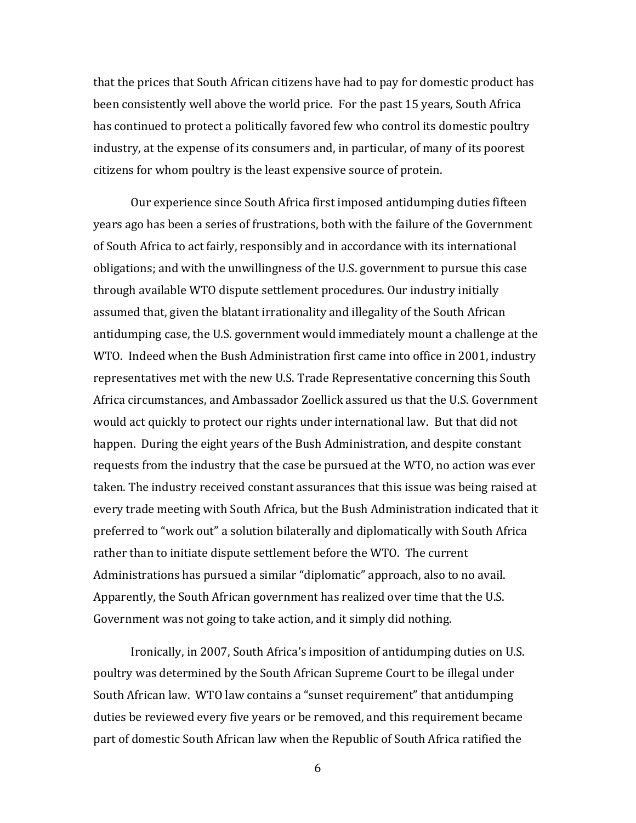that the prices that South African citizens have had to pay for domestic product has been consistently well above the world price. For the past 15 years, South Africa has continued to protect a politically favored few who control its domestic poultry industry, at the expense of its consumers and, in particular, of many of its poorest citizens for whom poultry is the least expensive source of protein.

Our experience since South Africa first imposed antidumping duties fifteen years ago has been a series of frustrations, both with the failure of the Government of South Africa to act fairly, responsibly and in accordance with its international obligations; and with the unwillingness of the U.S. government to pursue this case through available WTO dispute settlement procedures. Our industry initially assumed that, given the blatant irrationality and illegality of the South African antidumping case, the U.S. government would immediately mount a challenge at the WTO. Indeed when the Bush Administration first came into office in 2001, industry representatives met with the new U.S. Trade Representative concerning this South Africa circumstances, and Ambassador Zoellick assured us that the U.S. Government would act quickly to protect our rights under international law. But that did not happen. During the eight years of the Bush Administration, and despite constant requests from the industry that the case be pursued at the WTO, no action was ever taken. The industry received constant assurances that this issue was being raised at every trade meeting with South Africa, but the Bush Administration indicated that it preferred to "work out" a solution bilaterally and diplomatically with South Africa rather than to initiate dispute settlement before the WTO. The current Administrations has pursued a similar "diplomatic" approach, also to no avail. Apparently, the South African government has realized over time that the U.S. Government was not going to take action, and it simply did nothing.

Ironically, in 2007, South Africa's imposition of antidumping duties on U.S. poultry was determined by the South African Supreme Court to be illegal under South African law. WTO law contains a "sunset requirement" that antidumping duties be reviewed every five years or be removed, and this requirement became part of domestic South African law when the Republic of South Africa ratified the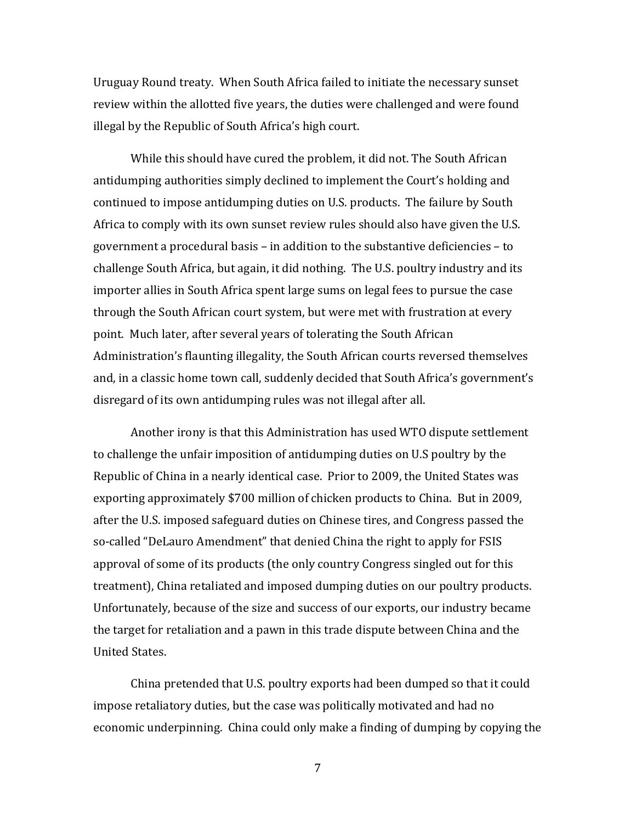Uruguay Round treaty. When South Africa failed to initiate the necessary sunset review within the allotted five years, the duties were challenged and were found illegal by the Republic of South Africa's high court.

While this should have cured the problem, it did not. The South African antidumping authorities simply declined to implement the Court's holding and continued to impose antidumping duties on U.S. products. The failure by South Africa to comply with its own sunset review rules should also have given the U.S. government a procedural basis – in addition to the substantive deficiencies – to challenge South Africa, but again, it did nothing. The U.S. poultry industry and its importer allies in South Africa spent large sums on legal fees to pursue the case through the South African court system, but were met with frustration at every point. Much later, after several years of tolerating the South African Administration's flaunting illegality, the South African courts reversed themselves and, in a classic home town call, suddenly decided that South Africa's government's disregard of its own antidumping rules was not illegal after all.

Another irony is that this Administration has used WTO dispute settlement to challenge the unfair imposition of antidumping duties on U.S poultry by the Republic of China in a nearly identical case. Prior to 2009, the United States was exporting approximately \$700 million of chicken products to China. But in 2009, after the U.S. imposed safeguard duties on Chinese tires, and Congress passed the so-called "DeLauro Amendment" that denied China the right to apply for FSIS approval of some of its products (the only country Congress singled out for this treatment), China retaliated and imposed dumping duties on our poultry products. Unfortunately, because of the size and success of our exports, our industry became the target for retaliation and a pawn in this trade dispute between China and the United States.

China pretended that U.S. poultry exports had been dumped so that it could impose retaliatory duties, but the case was politically motivated and had no economic underpinning. China could only make a finding of dumping by copying the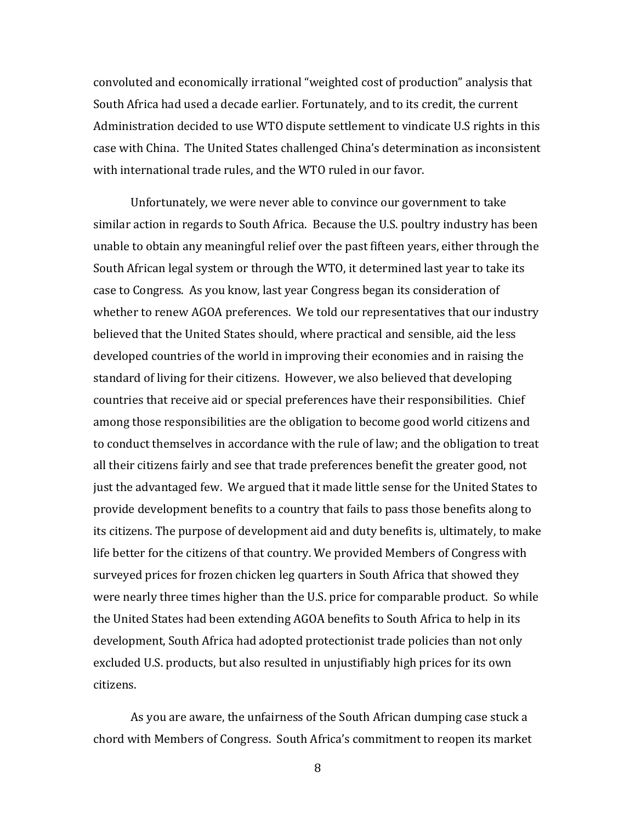convoluted and economically irrational "weighted cost of production" analysis that South Africa had used a decade earlier. Fortunately, and to its credit, the current Administration decided to use WTO dispute settlement to vindicate U.S rights in this case with China. The United States challenged China's determination as inconsistent with international trade rules, and the WTO ruled in our favor.

Unfortunately, we were never able to convince our government to take similar action in regards to South Africa. Because the U.S. poultry industry has been unable to obtain any meaningful relief over the past fifteen years, either through the South African legal system or through the WTO, it determined last year to take its case to Congress. As you know, last year Congress began its consideration of whether to renew AGOA preferences. We told our representatives that our industry believed that the United States should, where practical and sensible, aid the less developed countries of the world in improving their economies and in raising the standard of living for their citizens. However, we also believed that developing countries that receive aid or special preferences have their responsibilities. Chief among those responsibilities are the obligation to become good world citizens and to conduct themselves in accordance with the rule of law; and the obligation to treat all their citizens fairly and see that trade preferences benefit the greater good, not just the advantaged few. We argued that it made little sense for the United States to provide development benefits to a country that fails to pass those benefits along to its citizens. The purpose of development aid and duty benefits is, ultimately, to make life better for the citizens of that country. We provided Members of Congress with surveyed prices for frozen chicken leg quarters in South Africa that showed they were nearly three times higher than the U.S. price for comparable product. So while the United States had been extending AGOA benefits to South Africa to help in its development, South Africa had adopted protectionist trade policies than not only excluded U.S. products, but also resulted in unjustifiably high prices for its own citizens.

As you are aware, the unfairness of the South African dumping case stuck a chord with Members of Congress. South Africa's commitment to reopen its market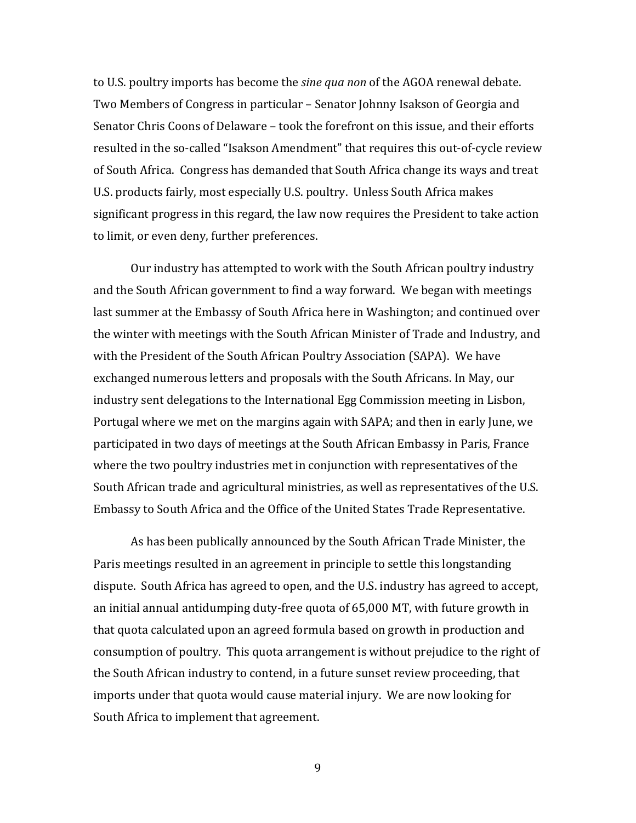to U.S. poultry imports has become the *sine qua non* of the AGOA renewal debate. Two Members of Congress in particular – Senator Johnny Isakson of Georgia and Senator Chris Coons of Delaware – took the forefront on this issue, and their efforts resulted in the so-called "Isakson Amendment" that requires this out-of-cycle review of South Africa. Congress has demanded that South Africa change its ways and treat U.S. products fairly, most especially U.S. poultry. Unless South Africa makes significant progress in this regard, the law now requires the President to take action to limit, or even deny, further preferences.

Our industry has attempted to work with the South African poultry industry and the South African government to find a way forward. We began with meetings last summer at the Embassy of South Africa here in Washington; and continued over the winter with meetings with the South African Minister of Trade and Industry, and with the President of the South African Poultry Association (SAPA). We have exchanged numerous letters and proposals with the South Africans. In May, our industry sent delegations to the International Egg Commission meeting in Lisbon, Portugal where we met on the margins again with SAPA; and then in early June, we participated in two days of meetings at the South African Embassy in Paris, France where the two poultry industries met in conjunction with representatives of the South African trade and agricultural ministries, as well as representatives of the U.S. Embassy to South Africa and the Office of the United States Trade Representative.

As has been publically announced by the South African Trade Minister, the Paris meetings resulted in an agreement in principle to settle this longstanding dispute. South Africa has agreed to open, and the U.S. industry has agreed to accept, an initial annual antidumping duty-free quota of  $65,000$  MT, with future growth in that quota calculated upon an agreed formula based on growth in production and consumption of poultry. This quota arrangement is without prejudice to the right of the South African industry to contend, in a future sunset review proceeding, that imports under that quota would cause material injury. We are now looking for South Africa to implement that agreement.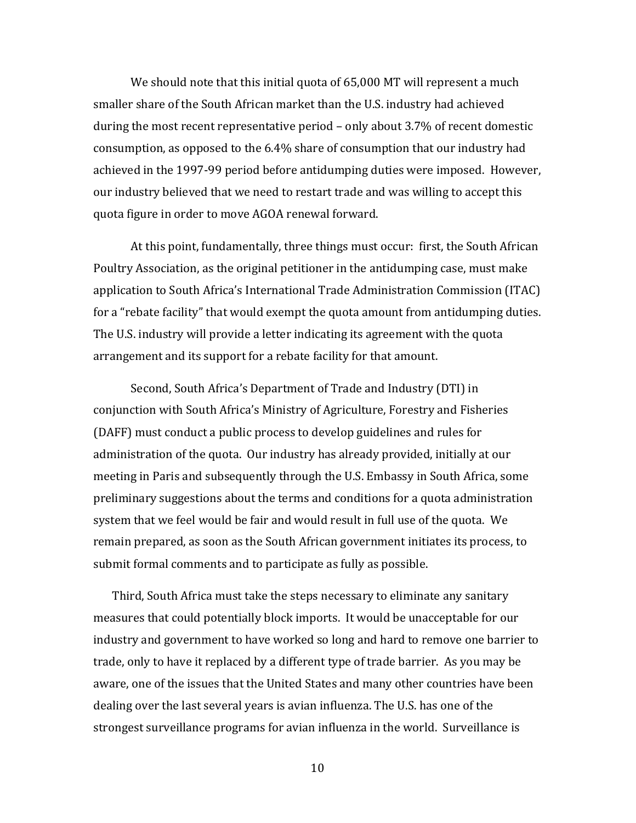We should note that this initial quota of  $65,000$  MT will represent a much smaller share of the South African market than the U.S. industry had achieved during the most recent representative period  $-$  only about 3.7% of recent domestic consumption, as opposed to the 6.4% share of consumption that our industry had achieved in the 1997-99 period before antidumping duties were imposed. However, our industry believed that we need to restart trade and was willing to accept this quota figure in order to move AGOA renewal forward.

At this point, fundamentally, three things must occur: first, the South African Poultry Association, as the original petitioner in the antidumping case, must make application to South Africa's International Trade Administration Commission (ITAC) for a "rebate facility" that would exempt the quota amount from antidumping duties. The U.S. industry will provide a letter indicating its agreement with the quota arrangement and its support for a rebate facility for that amount.

Second, South Africa's Department of Trade and Industry (DTI) in conjunction with South Africa's Ministry of Agriculture, Forestry and Fisheries (DAFF) must conduct a public process to develop guidelines and rules for administration of the quota. Our industry has already provided, initially at our meeting in Paris and subsequently through the U.S. Embassy in South Africa, some preliminary suggestions about the terms and conditions for a quota administration system that we feel would be fair and would result in full use of the quota. We remain prepared, as soon as the South African government initiates its process, to submit formal comments and to participate as fully as possible.

Third, South Africa must take the steps necessary to eliminate any sanitary measures that could potentially block imports. It would be unacceptable for our industry and government to have worked so long and hard to remove one barrier to trade, only to have it replaced by a different type of trade barrier. As you may be aware, one of the issues that the United States and many other countries have been dealing over the last several years is avian influenza. The U.S. has one of the strongest surveillance programs for avian influenza in the world. Surveillance is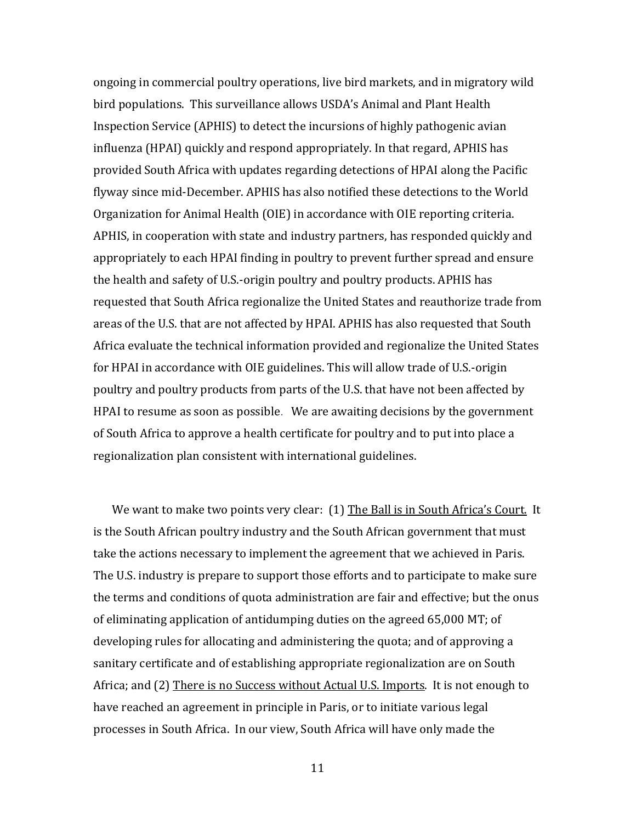ongoing in commercial poultry operations, live bird markets, and in migratory wild bird populations. This surveillance allows USDA's Animal and Plant Health Inspection Service (APHIS) to detect the incursions of highly pathogenic avian influenza (HPAI) quickly and respond appropriately. In that regard, APHIS has provided South Africa with updates regarding detections of HPAI along the Pacific flyway since mid-December. APHIS has also notified these detections to the World Organization for Animal Health (OIE) in accordance with OIE reporting criteria. APHIS, in cooperation with state and industry partners, has responded quickly and appropriately to each HPAI finding in poultry to prevent further spread and ensure the health and safety of U.S.-origin poultry and poultry products. APHIS has requested that South Africa regionalize the United States and reauthorize trade from areas of the U.S. that are not affected by HPAI. APHIS has also requested that South Africa evaluate the technical information provided and regionalize the United States for HPAI in accordance with OIE guidelines. This will allow trade of U.S.-origin poultry and poultry products from parts of the U.S. that have not been affected by HPAI to resume as soon as possible. We are awaiting decisions by the government of South Africa to approve a health certificate for poultry and to put into place a regionalization plan consistent with international guidelines.

We want to make two points very clear: (1) The Ball is in South Africa's Court. It is the South African poultry industry and the South African government that must take the actions necessary to implement the agreement that we achieved in Paris. The U.S. industry is prepare to support those efforts and to participate to make sure the terms and conditions of quota administration are fair and effective; but the onus of eliminating application of antidumping duties on the agreed  $65,000$  MT; of developing rules for allocating and administering the quota; and of approving a sanitary certificate and of establishing appropriate regionalization are on South Africa; and (2) There is no Success without Actual U.S. Imports. It is not enough to have reached an agreement in principle in Paris, or to initiate various legal processes in South Africa. In our view, South Africa will have only made the